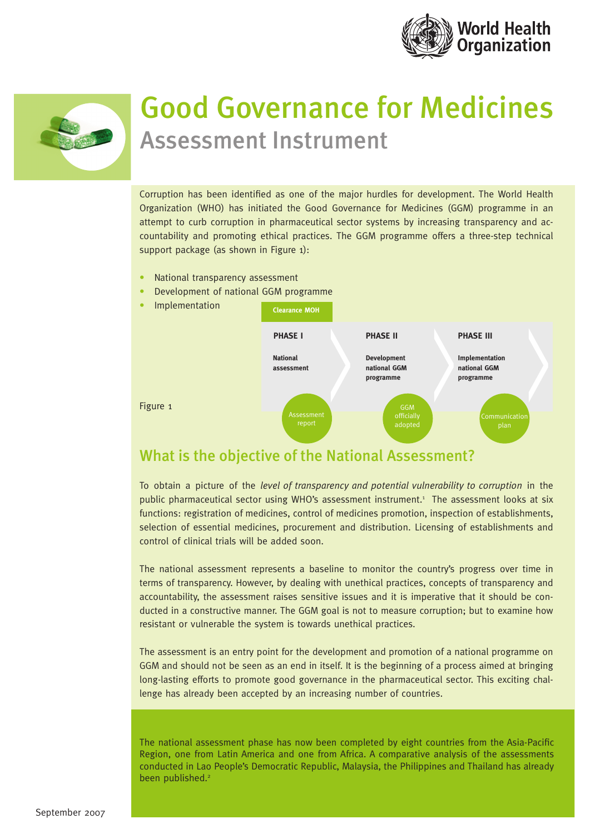



# Good Governance for Medicines Assessment Instrument

Corruption has been identified as one of the major hurdles for development. The World Health Organization (WHO) has initiated the Good Governance for Medicines (GGM) programme in an attempt to curb corruption in pharmaceutical sector systems by increasing transparency and accountability and promoting ethical practices. The GGM programme offers a three-step technical support package (as shown in Figure 1):

- National transparency assessment
- Development of national GGM programme



## What is the objective of the National Assessment?

To obtain a picture of the *level of transparency and potential vulnerability to corruption* in the public pharmaceutical sector using WHO's assessment instrument.1 The assessment looks at six functions: registration of medicines, control of medicines promotion, inspection of establishments, selection of essential medicines, procurement and distribution. Licensing of establishments and control of clinical trials will be added soon.

The national assessment represents a baseline to monitor the country's progress over time in terms of transparency. However, by dealing with unethical practices, concepts of transparency and accountability, the assessment raises sensitive issues and it is imperative that it should be conducted in a constructive manner. The GGM goal is not to measure corruption; but to examine how resistant or vulnerable the system is towards unethical practices.

The assessment is an entry point for the development and promotion of a national programme on GGM and should not be seen as an end in itself. It is the beginning of a process aimed at bringing long-lasting efforts to promote good governance in the pharmaceutical sector. This exciting challenge has already been accepted by an increasing number of countries.

The national assessment phase has now been completed by eight countries from the Asia-Pacific Region, one from Latin America and one from Africa. A comparative analysis of the assessments conducted in Lao People's Democratic Republic, Malaysia, the Philippines and Thailand has already been published.<sup>2</sup>